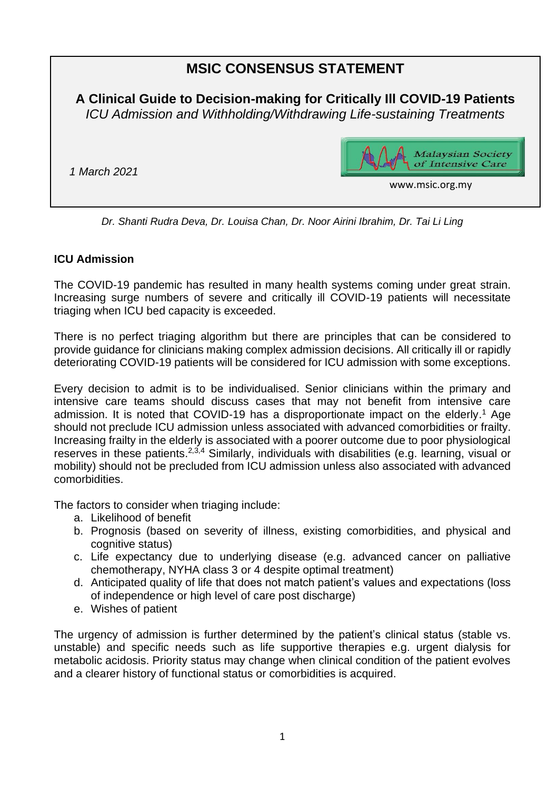# **MSIC CONSENSUS STATEMENT**

**A Clinical Guide to Decision-making for Critically Ill COVID-19 Patients** *ICU Admission and Withholding/Withdrawing Life-sustaining Treatments*

*1 March 2021* 



www.msic.org.my

*Dr. Shanti Rudra Deva, Dr. Louisa Chan, Dr. Noor Airini Ibrahim, Dr. Tai Li Ling*

#### **ICU Admission**

The COVID-19 pandemic has resulted in many health systems coming under great strain. Increasing surge numbers of severe and critically ill COVID-19 patients will necessitate triaging when ICU bed capacity is exceeded.

There is no perfect triaging algorithm but there are principles that can be considered to provide guidance for clinicians making complex admission decisions. All critically ill or rapidly deteriorating COVID-19 patients will be considered for ICU admission with some exceptions.

Every decision to admit is to be individualised. Senior clinicians within the primary and intensive care teams should discuss cases that may not benefit from intensive care admission. It is noted that COVID-19 has a disproportionate impact on the elderly. <sup>1</sup> Age should not preclude ICU admission unless associated with advanced comorbidities or frailty. Increasing frailty in the elderly is associated with a poorer outcome due to poor physiological reserves in these patients.<sup>2,3,4</sup> Similarly, individuals with disabilities (e.g. learning, visual or mobility) should not be precluded from ICU admission unless also associated with advanced comorbidities.

The factors to consider when triaging include:

- a. Likelihood of benefit
- b. Prognosis (based on severity of illness, existing comorbidities, and physical and cognitive status)
- c. Life expectancy due to underlying disease (e.g. advanced cancer on palliative chemotherapy, NYHA class 3 or 4 despite optimal treatment)
- d. Anticipated quality of life that does not match patient's values and expectations (loss of independence or high level of care post discharge)
- e. Wishes of patient

The urgency of admission is further determined by the patient's clinical status (stable vs. unstable) and specific needs such as life supportive therapies e.g. urgent dialysis for metabolic acidosis. Priority status may change when clinical condition of the patient evolves and a clearer history of functional status or comorbidities is acquired.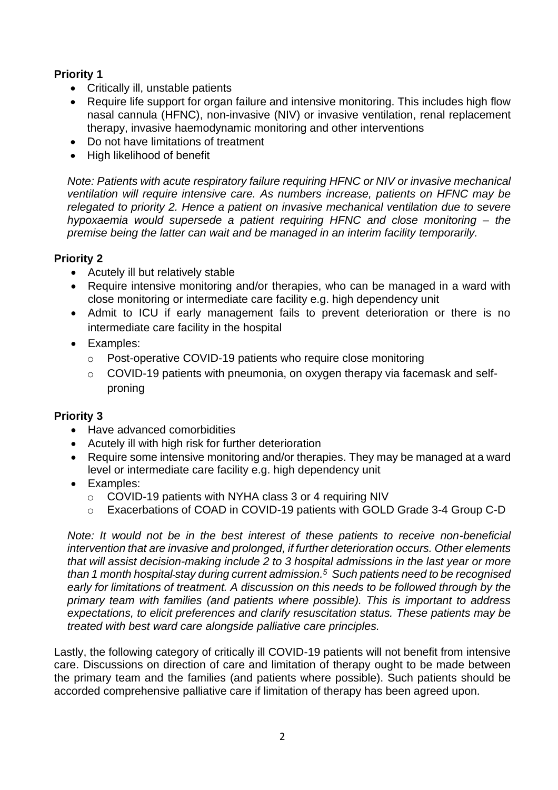# **Priority 1**

- Critically ill, unstable patients
- Require life support for organ failure and intensive monitoring. This includes high flow nasal cannula (HFNC), non-invasive (NIV) or invasive ventilation, renal replacement therapy, invasive haemodynamic monitoring and other interventions
- Do not have limitations of treatment
- High likelihood of benefit

*Note: Patients with acute respiratory failure requiring HFNC or NIV or invasive mechanical ventilation will require intensive care. As numbers increase, patients on HFNC may be relegated to priority 2. Hence a patient on invasive mechanical ventilation due to severe hypoxaemia would supersede a patient requiring HFNC and close monitoring – the premise being the latter can wait and be managed in an interim facility temporarily.*

# **Priority 2**

- Acutely ill but relatively stable
- Require intensive monitoring and/or therapies, who can be managed in a ward with close monitoring or intermediate care facility e.g. high dependency unit
- Admit to ICU if early management fails to prevent deterioration or there is no intermediate care facility in the hospital
- Examples:
	- o Post-operative COVID-19 patients who require close monitoring
	- $\circ$  COVID-19 patients with pneumonia, on oxygen therapy via facemask and selfproning

## **Priority 3**

- Have advanced comorbidities
- Acutely ill with high risk for further deterioration
- Require some intensive monitoring and/or therapies. They may be managed at a ward level or intermediate care facility e.g. high dependency unit
- Examples:
	- o COVID-19 patients with NYHA class 3 or 4 requiring NIV
	- o Exacerbations of COAD in COVID-19 patients with GOLD Grade 3-4 Group C-D

*Note: It would not be in the best interest of these patients to receive non-beneficial intervention that are invasive and prolonged, if further deterioration occurs. Other elements that will assist decision-making include 2 to 3 hospital admissions in the last year or more than 1 month hospital stay during current admission. <sup>5</sup> Such patients need to be recognised early for limitations of treatment. A discussion on this needs to be followed through by the primary team with families (and patients where possible). This is important to address expectations, to elicit preferences and clarify resuscitation status. These patients may be treated with best ward care alongside palliative care principles.*

Lastly, the following category of critically ill COVID-19 patients will not benefit from intensive care. Discussions on direction of care and limitation of therapy ought to be made between the primary team and the families (and patients where possible). Such patients should be accorded comprehensive palliative care if limitation of therapy has been agreed upon.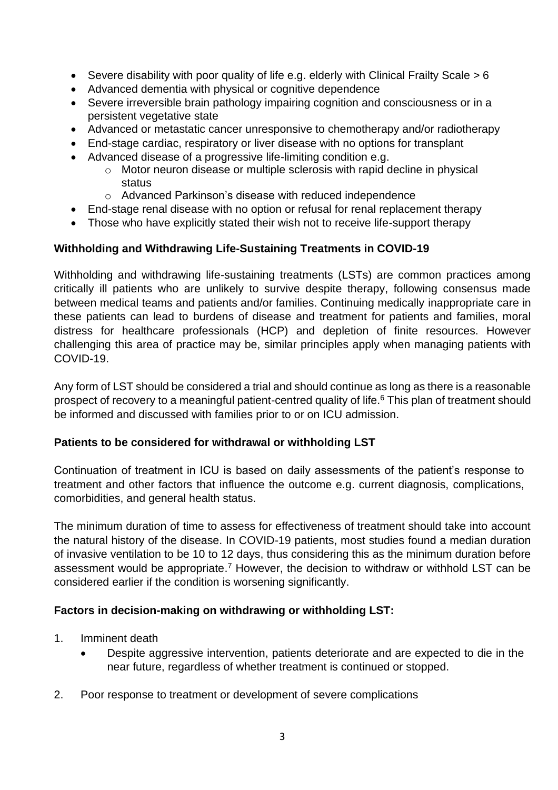- Severe disability with poor quality of life e.g. elderly with Clinical Frailty Scale  $> 6$
- Advanced dementia with physical or cognitive dependence
- Severe irreversible brain pathology impairing cognition and consciousness or in a persistent vegetative state
- Advanced or metastatic cancer unresponsive to chemotherapy and/or radiotherapy
- End-stage cardiac, respiratory or liver disease with no options for transplant
- Advanced disease of a progressive life-limiting condition e.g.
	- o Motor neuron disease or multiple sclerosis with rapid decline in physical status
	- o Advanced Parkinson's disease with reduced independence
- End-stage renal disease with no option or refusal for renal replacement therapy
- Those who have explicitly stated their wish not to receive life-support therapy

## **Withholding and Withdrawing Life-Sustaining Treatments in COVID-19**

Withholding and withdrawing life-sustaining treatments (LSTs) are common practices among critically ill patients who are unlikely to survive despite therapy, following consensus made between medical teams and patients and/or families. Continuing medically inappropriate care in these patients can lead to burdens of disease and treatment for patients and families, moral distress for healthcare professionals (HCP) and depletion of finite resources. However challenging this area of practice may be, similar principles apply when managing patients with COVID-19.

Any form of LST should be considered a trial and should continue as long as there is a reasonable prospect of recovery to a meaningful patient-centred quality of life. <sup>6</sup> This plan of treatment should be informed and discussed with families prior to or on ICU admission.

#### **Patients to be considered for withdrawal or withholding LST**

Continuation of treatment in ICU is based on daily assessments of the patient's response to treatment and other factors that influence the outcome e.g. current diagnosis, complications, comorbidities, and general health status.

The minimum duration of time to assess for effectiveness of treatment should take into account the natural history of the disease. In COVID-19 patients, most studies found a median duration of invasive ventilation to be 10 to 12 days, thus considering this as the minimum duration before assessment would be appropriate.<sup>7</sup> However, the decision to withdraw or withhold LST can be considered earlier if the condition is worsening significantly.

#### **Factors in decision-making on withdrawing or withholding LST:**

- 1. Imminent death
	- Despite aggressive intervention, patients deteriorate and are expected to die in the near future, regardless of whether treatment is continued or stopped.
- 2. Poor response to treatment or development of severe complications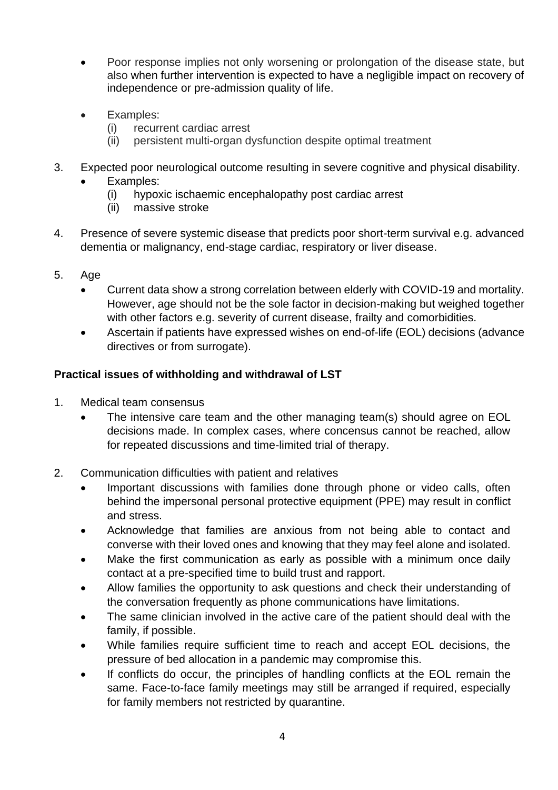- Poor response implies not only worsening or prolongation of the disease state, but also when further intervention is expected to have a negligible impact on recovery of independence or pre-admission quality of life.
- Examples:
	- (i) recurrent cardiac arrest
	- (ii) persistent multi-organ dysfunction despite optimal treatment
- 3. Expected poor neurological outcome resulting in severe cognitive and physical disability.
	- Examples:
		- (i) hypoxic ischaemic encephalopathy post cardiac arrest
		- (ii) massive stroke
- 4. Presence of severe systemic disease that predicts poor short-term survival e.g. advanced dementia or malignancy, end-stage cardiac, respiratory or liver disease.
- 5. Age
	- Current data show a strong correlation between elderly with COVID-19 and mortality. However, age should not be the sole factor in decision-making but weighed together with other factors e.g. severity of current disease, frailty and comorbidities.
	- Ascertain if patients have expressed wishes on end-of-life (EOL) decisions (advance directives or from surrogate).

# **Practical issues of withholding and withdrawal of LST**

- 1. Medical team consensus
	- The intensive care team and the other managing team(s) should agree on EOL decisions made. In complex cases, where concensus cannot be reached, allow for repeated discussions and time-limited trial of therapy.
- 2. Communication difficulties with patient and relatives
	- Important discussions with families done through phone or video calls, often behind the impersonal personal protective equipment (PPE) may result in conflict and stress.
	- Acknowledge that families are anxious from not being able to contact and converse with their loved ones and knowing that they may feel alone and isolated.
	- Make the first communication as early as possible with a minimum once daily contact at a pre-specified time to build trust and rapport.
	- Allow families the opportunity to ask questions and check their understanding of the conversation frequently as phone communications have limitations.
	- The same clinician involved in the active care of the patient should deal with the family, if possible.
	- While families require sufficient time to reach and accept EOL decisions, the pressure of bed allocation in a pandemic may compromise this.
	- If conflicts do occur, the principles of handling conflicts at the EOL remain the same. Face-to-face family meetings may still be arranged if required, especially for family members not restricted by quarantine.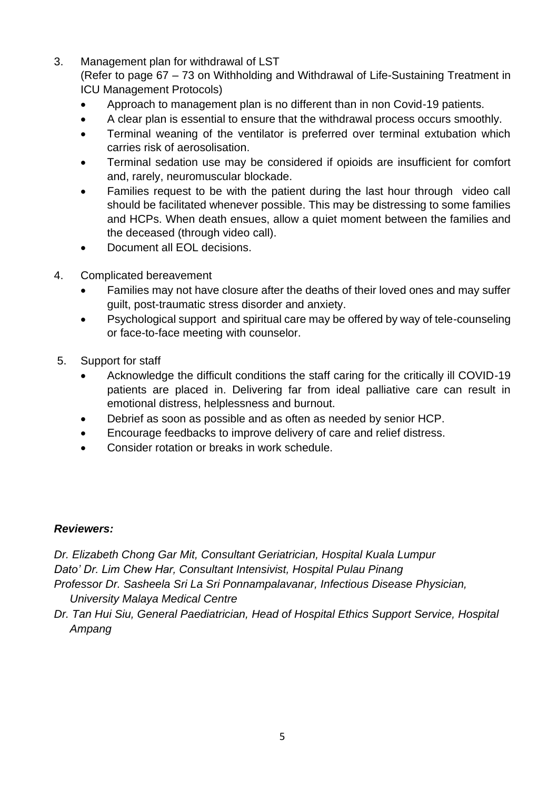3. Management plan for withdrawal of LST

(Refer to page 67 – 73 on Withholding and Withdrawal of Life-Sustaining Treatment in ICU Management Protocols)

- Approach to management plan is no different than in non Covid-19 patients.
- A clear plan is essential to ensure that the withdrawal process occurs smoothly.
- Terminal weaning of the ventilator is preferred over terminal extubation which carries risk of aerosolisation.
- Terminal sedation use may be considered if opioids are insufficient for comfort and, rarely, neuromuscular blockade.
- Families request to be with the patient during the last hour through video call should be facilitated whenever possible. This may be distressing to some families and HCPs. When death ensues, allow a quiet moment between the families and the deceased (through video call).
- Document all EOL decisions.
- 4. Complicated bereavement
	- Families may not have closure after the deaths of their loved ones and may suffer guilt, post-traumatic stress disorder and anxiety.
	- Psychological support and spiritual care may be offered by way of tele-counseling or face-to-face meeting with counselor.
- 5. Support for staff
	- Acknowledge the difficult conditions the staff caring for the critically ill COVID-19 patients are placed in. Delivering far from ideal palliative care can result in emotional distress, helplessness and burnout.
	- Debrief as soon as possible and as often as needed by senior HCP.
	- Encourage feedbacks to improve delivery of care and relief distress.
	- Consider rotation or breaks in work schedule.

## *Reviewers:*

*Dr. Elizabeth Chong Gar Mit, Consultant Geriatrician, Hospital Kuala Lumpur Dato' Dr. Lim Chew Har, Consultant Intensivist, Hospital Pulau Pinang Professor Dr. Sasheela Sri La Sri Ponnampalavanar, Infectious Disease Physician,* 

 *University Malaya Medical Centre*

*Dr. Tan Hui Siu, General Paediatrician, Head of Hospital Ethics Support Service, Hospital Ampang*